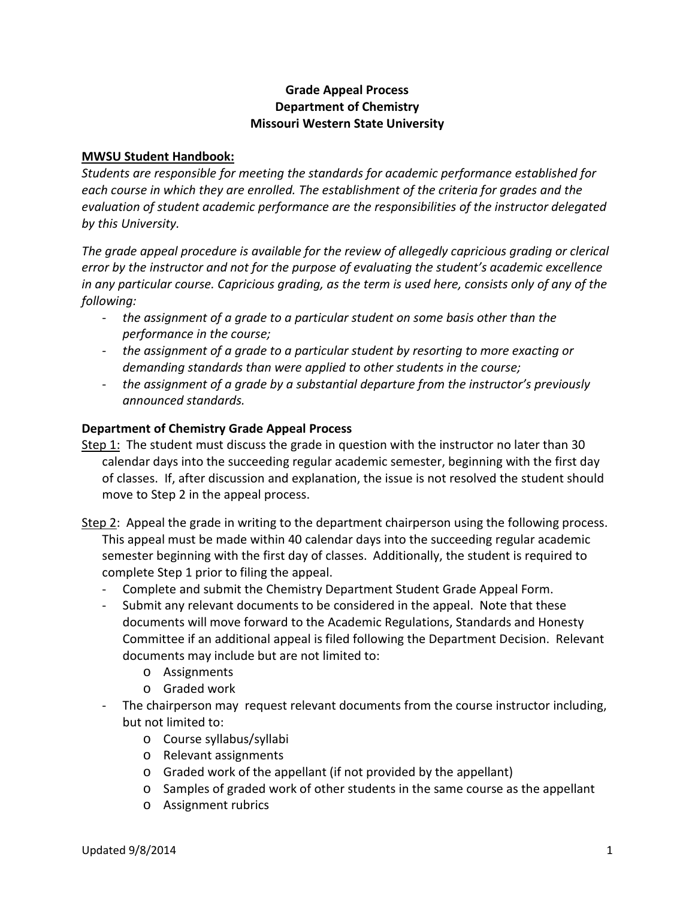## **Grade Appeal Process Department of Chemistry Missouri Western State University**

## **MWSU Student Handbook:**

*Students are responsible for meeting the standards for academic performance established for each course in which they are enrolled. The establishment of the criteria for grades and the evaluation of student academic performance are the responsibilities of the instructor delegated by this University.*

*The grade appeal procedure is available for the review of allegedly capricious grading or clerical error by the instructor and not for the purpose of evaluating the student's academic excellence in any particular course. Capricious grading, as the term is used here, consists only of any of the following:*

- *the assignment of a grade to a particular student on some basis other than the performance in the course;*
- *the assignment of a grade to a particular student by resorting to more exacting or demanding standards than were applied to other students in the course;*
- *the assignment of a grade by a substantial departure from the instructor's previously announced standards.*

## **Department of Chemistry Grade Appeal Process**

- Step 1: The student must discuss the grade in question with the instructor no later than 30 calendar days into the succeeding regular academic semester, beginning with the first day of classes. If, after discussion and explanation, the issue is not resolved the student should move to Step 2 in the appeal process.
- Step 2: Appeal the grade in writing to the department chairperson using the following process. This appeal must be made within 40 calendar days into the succeeding regular academic semester beginning with the first day of classes. Additionally, the student is required to complete Step 1 prior to filing the appeal.
	- Complete and submit the Chemistry Department Student Grade Appeal Form.
	- Submit any relevant documents to be considered in the appeal. Note that these documents will move forward to the Academic Regulations, Standards and Honesty Committee if an additional appeal is filed following the Department Decision. Relevant documents may include but are not limited to:
		- o Assignments
		- o Graded work
	- The chairperson may request relevant documents from the course instructor including, but not limited to:
		- o Course syllabus/syllabi
		- o Relevant assignments
		- o Graded work of the appellant (if not provided by the appellant)
		- o Samples of graded work of other students in the same course as the appellant
		- o Assignment rubrics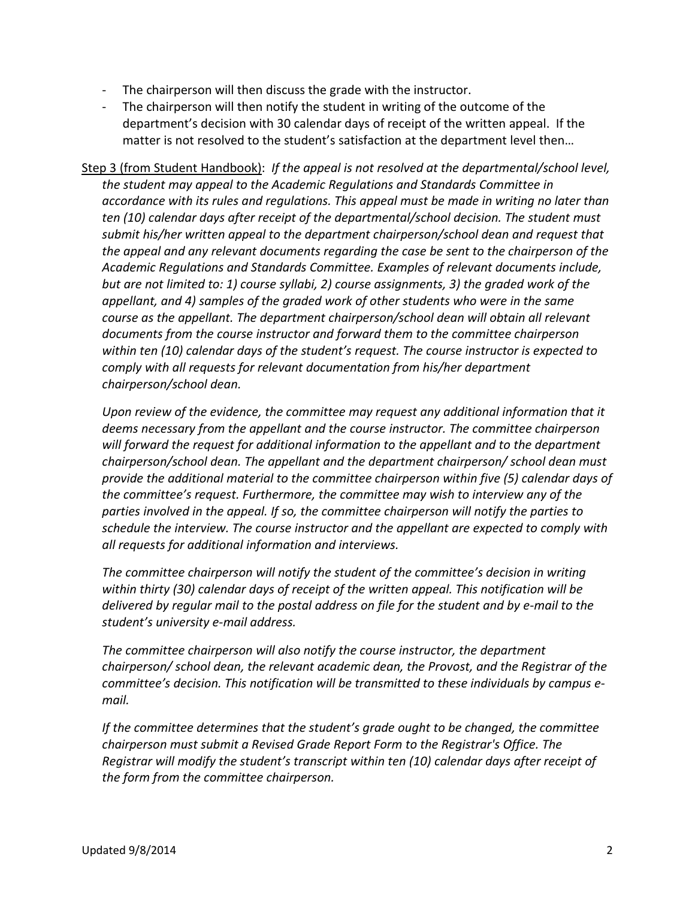- The chairperson will then discuss the grade with the instructor.
- The chairperson will then notify the student in writing of the outcome of the department's decision with 30 calendar days of receipt of the written appeal. If the matter is not resolved to the student's satisfaction at the department level then…

Step 3 (from Student Handbook): *If the appeal is not resolved at the departmental/school level, the student may appeal to the Academic Regulations and Standards Committee in accordance with its rules and regulations. This appeal must be made in writing no later than ten (10) calendar days after receipt of the departmental/school decision. The student must submit his/her written appeal to the department chairperson/school dean and request that the appeal and any relevant documents regarding the case be sent to the chairperson of the Academic Regulations and Standards Committee. Examples of relevant documents include, but are not limited to: 1) course syllabi, 2) course assignments, 3) the graded work of the appellant, and 4) samples of the graded work of other students who were in the same course as the appellant. The department chairperson/school dean will obtain all relevant documents from the course instructor and forward them to the committee chairperson within ten (10) calendar days of the student's request. The course instructor is expected to comply with all requests for relevant documentation from his/her department chairperson/school dean.*

*Upon review of the evidence, the committee may request any additional information that it deems necessary from the appellant and the course instructor. The committee chairperson will forward the request for additional information to the appellant and to the department chairperson/school dean. The appellant and the department chairperson/ school dean must provide the additional material to the committee chairperson within five (5) calendar days of the committee's request. Furthermore, the committee may wish to interview any of the parties involved in the appeal. If so, the committee chairperson will notify the parties to schedule the interview. The course instructor and the appellant are expected to comply with all requests for additional information and interviews.*

*The committee chairperson will notify the student of the committee's decision in writing within thirty (30) calendar days of receipt of the written appeal. This notification will be delivered by regular mail to the postal address on file for the student and by e-mail to the student's university e-mail address.*

*The committee chairperson will also notify the course instructor, the department chairperson/ school dean, the relevant academic dean, the Provost, and the Registrar of the committee's decision. This notification will be transmitted to these individuals by campus email.*

*If the committee determines that the student's grade ought to be changed, the committee chairperson must submit a Revised Grade Report Form to the Registrar's Office. The Registrar will modify the student's transcript within ten (10) calendar days after receipt of the form from the committee chairperson.*